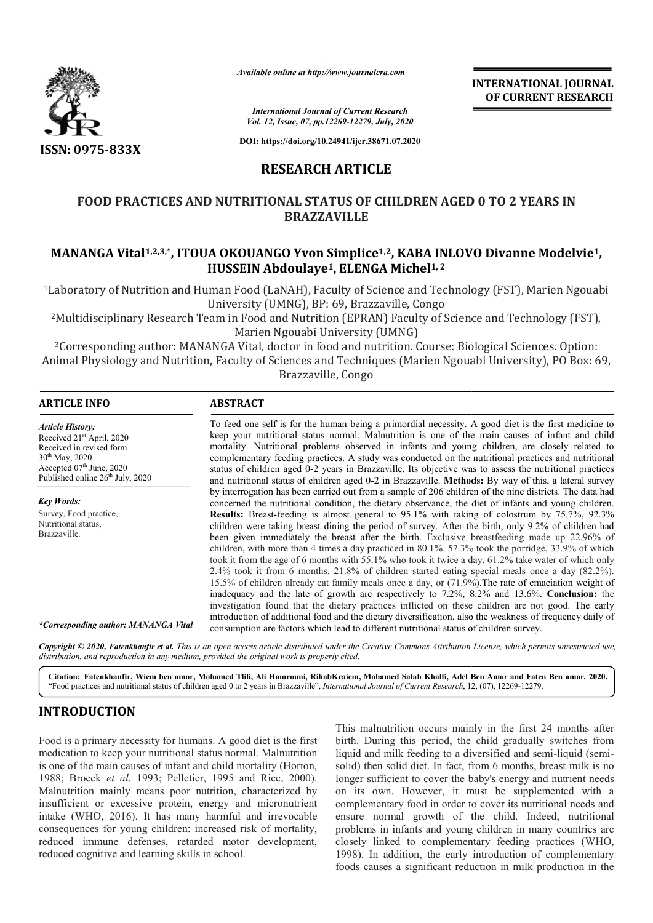

*Available online at http://www.journalcra.com*

# **RESEARCH ARTICLE**

# **FOOD PRACTICES AND NUTRITIONAL STATUS OF CHILDREN AGED 0 TO 2 YEARS IN**  FOOD PRACTICES AND NUTRITIONAL STATUS OF CHILDREN AGED 0 TO 2 YEARS IN<br>BRAZZAVILLE<br>MANANGA Vital<sup>1,2,3,\*</sup>, ITOUA OKOUANGO Yvon Simplice<sup>1,2</sup>, KABA INLOVO Divanne Modelvie<sup>1</sup>, **BRAZZAVILLE**

# **HUSSEIN Abdoulaye Abdoulaye1, ELENGA Michel1, 2**

|                                                                                                                                                                                                                                                                                                                                                                                                                                                                                                                                                                                                                                                                   | <b>INTERNATIONAL JOURNAL</b><br>OF CURRENT RESEARCH           |                                                                                                                                                                                                                                                                                                                                                                                                                                                                                                                                                                                                                                                                                                                                                                                                                                                                                                                                                                                                                                                                                                                                                                                                                                                                                                                                                                                                                                                                                                                                                                                                                                                                                                                                                                                                                                                                                                                                                                                                |  |  |  |
|-------------------------------------------------------------------------------------------------------------------------------------------------------------------------------------------------------------------------------------------------------------------------------------------------------------------------------------------------------------------------------------------------------------------------------------------------------------------------------------------------------------------------------------------------------------------------------------------------------------------------------------------------------------------|---------------------------------------------------------------|------------------------------------------------------------------------------------------------------------------------------------------------------------------------------------------------------------------------------------------------------------------------------------------------------------------------------------------------------------------------------------------------------------------------------------------------------------------------------------------------------------------------------------------------------------------------------------------------------------------------------------------------------------------------------------------------------------------------------------------------------------------------------------------------------------------------------------------------------------------------------------------------------------------------------------------------------------------------------------------------------------------------------------------------------------------------------------------------------------------------------------------------------------------------------------------------------------------------------------------------------------------------------------------------------------------------------------------------------------------------------------------------------------------------------------------------------------------------------------------------------------------------------------------------------------------------------------------------------------------------------------------------------------------------------------------------------------------------------------------------------------------------------------------------------------------------------------------------------------------------------------------------------------------------------------------------------------------------------------------------|--|--|--|
|                                                                                                                                                                                                                                                                                                                                                                                                                                                                                                                                                                                                                                                                   |                                                               | <b>International Journal of Current Research</b><br>Vol. 12, Issue, 07, pp.12269-12279, July, 2020                                                                                                                                                                                                                                                                                                                                                                                                                                                                                                                                                                                                                                                                                                                                                                                                                                                                                                                                                                                                                                                                                                                                                                                                                                                                                                                                                                                                                                                                                                                                                                                                                                                                                                                                                                                                                                                                                             |  |  |  |
| ISSN: 0975-833X                                                                                                                                                                                                                                                                                                                                                                                                                                                                                                                                                                                                                                                   |                                                               | DOI: https://doi.org/10.24941/ijcr.38671.07.2020                                                                                                                                                                                                                                                                                                                                                                                                                                                                                                                                                                                                                                                                                                                                                                                                                                                                                                                                                                                                                                                                                                                                                                                                                                                                                                                                                                                                                                                                                                                                                                                                                                                                                                                                                                                                                                                                                                                                               |  |  |  |
|                                                                                                                                                                                                                                                                                                                                                                                                                                                                                                                                                                                                                                                                   | <b>RESEARCH ARTICLE</b>                                       |                                                                                                                                                                                                                                                                                                                                                                                                                                                                                                                                                                                                                                                                                                                                                                                                                                                                                                                                                                                                                                                                                                                                                                                                                                                                                                                                                                                                                                                                                                                                                                                                                                                                                                                                                                                                                                                                                                                                                                                                |  |  |  |
|                                                                                                                                                                                                                                                                                                                                                                                                                                                                                                                                                                                                                                                                   | <b>BRAZZAVILLE</b>                                            | <b>FOOD PRACTICES AND NUTRITIONAL STATUS OF CHILDREN AGED 0 TO 2 YEARS IN</b>                                                                                                                                                                                                                                                                                                                                                                                                                                                                                                                                                                                                                                                                                                                                                                                                                                                                                                                                                                                                                                                                                                                                                                                                                                                                                                                                                                                                                                                                                                                                                                                                                                                                                                                                                                                                                                                                                                                  |  |  |  |
|                                                                                                                                                                                                                                                                                                                                                                                                                                                                                                                                                                                                                                                                   | HUSSEIN Abdoulaye <sup>1</sup> , ELENGA Michel <sup>1,2</sup> | MANANGA Vital <sup>1,2,3,*</sup> , ITOUA OKOUANGO Yvon Simplice <sup>1,2</sup> , KABA INLOVO Divanne Modelvie <sup>1</sup> ,                                                                                                                                                                                                                                                                                                                                                                                                                                                                                                                                                                                                                                                                                                                                                                                                                                                                                                                                                                                                                                                                                                                                                                                                                                                                                                                                                                                                                                                                                                                                                                                                                                                                                                                                                                                                                                                                   |  |  |  |
|                                                                                                                                                                                                                                                                                                                                                                                                                                                                                                                                                                                                                                                                   | University (UMNG), BP: 69, Brazzaville, Congo                 | <sup>1</sup> Laboratory of Nutrition and Human Food (LaNAH), Faculty of Science and Technology (FST), Marien Ngouabi                                                                                                                                                                                                                                                                                                                                                                                                                                                                                                                                                                                                                                                                                                                                                                                                                                                                                                                                                                                                                                                                                                                                                                                                                                                                                                                                                                                                                                                                                                                                                                                                                                                                                                                                                                                                                                                                           |  |  |  |
|                                                                                                                                                                                                                                                                                                                                                                                                                                                                                                                                                                                                                                                                   | Marien Ngouabi University (UMNG)                              | <sup>2</sup> Multidisciplinary Research Team in Food and Nutrition (EPRAN) Faculty of Science and Technology (FST),                                                                                                                                                                                                                                                                                                                                                                                                                                                                                                                                                                                                                                                                                                                                                                                                                                                                                                                                                                                                                                                                                                                                                                                                                                                                                                                                                                                                                                                                                                                                                                                                                                                                                                                                                                                                                                                                            |  |  |  |
|                                                                                                                                                                                                                                                                                                                                                                                                                                                                                                                                                                                                                                                                   | Brazzaville, Congo                                            | <sup>3</sup> Corresponding author: MANANGA Vital, doctor in food and nutrition. Course: Biological Sciences. Option:<br>Animal Physiology and Nutrition, Faculty of Sciences and Techniques (Marien Ngouabi University), PO Box: 69,                                                                                                                                                                                                                                                                                                                                                                                                                                                                                                                                                                                                                                                                                                                                                                                                                                                                                                                                                                                                                                                                                                                                                                                                                                                                                                                                                                                                                                                                                                                                                                                                                                                                                                                                                           |  |  |  |
| <b>ARTICLE INFO</b>                                                                                                                                                                                                                                                                                                                                                                                                                                                                                                                                                                                                                                               | <b>ABSTRACT</b>                                               |                                                                                                                                                                                                                                                                                                                                                                                                                                                                                                                                                                                                                                                                                                                                                                                                                                                                                                                                                                                                                                                                                                                                                                                                                                                                                                                                                                                                                                                                                                                                                                                                                                                                                                                                                                                                                                                                                                                                                                                                |  |  |  |
| <b>Article History:</b><br>Received 21st April, 2020<br>Received in revised form<br>30 <sup>th</sup> May, 2020<br>Accepted 07th June, 2020<br>Published online 26 <sup>th</sup> July, 2020<br><b>Key Words:</b><br>Survey, Food practice,<br>Nutritional status,<br>Brazzaville.<br>*Corresponding author: MANANGA Vital                                                                                                                                                                                                                                                                                                                                          |                                                               | To feed one self is for the human being a primordial necessity. A good diet is the first medicine to<br>keep your nutritional status normal. Malnutrition is one of the main causes of infant and child<br>mortality. Nutritional problems observed in infants and young children, are closely related to<br>complementary feeding practices. A study was conducted on the nutritional practices and nutritional<br>status of children aged 0-2 years in Brazzaville. Its objective was to assess the nutritional practices<br>and nutritional status of children aged 0-2 in Brazzaville. Methods: By way of this, a lateral survey<br>by interrogation has been carried out from a sample of 206 children of the nine districts. The data had<br>concerned the nutritional condition, the dietary observance, the diet of infants and young children.<br>Results: Breast-feeding is almost general to 95.1% with taking of colostrum by 75.7%, 92.3%<br>children were taking breast dining the period of survey. After the birth, only 9.2% of children had<br>been given immediately the breast after the birth. Exclusive breastfeeding made up 22.96% of<br>children, with more than 4 times a day practiced in 80.1%. 57.3% took the porridge, 33.9% of which<br>took it from the age of 6 months with 55.1% who took it twice a day. 61.2% take water of which only<br>2.4% took it from 6 months. 21.8% of children started eating special meals once a day (82.2%).<br>15.5% of children already eat family meals once a day, or (71.9%). The rate of emaciation weight of<br>inadequacy and the late of growth are respectively to 7.2%, 8.2% and 13.6%. Conclusion: the<br>investigation found that the dietary practices inflicted on these children are not good. The early<br>introduction of additional food and the dietary diversification, also the weakness of frequency daily of<br>consumption are factors which lead to different nutritional status of children survey. |  |  |  |
| distribution, and reproduction in any medium, provided the original work is properly cited.                                                                                                                                                                                                                                                                                                                                                                                                                                                                                                                                                                       |                                                               | Copyright © 2020, Fatenkhanfir et al. This is an open access article distributed under the Creative Commons Attribution License, which permits unrestricted use,<br>Citation: Fatenkhanfir, Wiem ben amor, Mohamed Tlili, Ali Hamrouni, RihabKraiem, Mohamed Salah Khalfi, Adel Ben Amor and Faten Ben amor. 2020.                                                                                                                                                                                                                                                                                                                                                                                                                                                                                                                                                                                                                                                                                                                                                                                                                                                                                                                                                                                                                                                                                                                                                                                                                                                                                                                                                                                                                                                                                                                                                                                                                                                                             |  |  |  |
|                                                                                                                                                                                                                                                                                                                                                                                                                                                                                                                                                                                                                                                                   |                                                               | "Food practices and nutritional status of children aged 0 to 2 years in Brazzaville", International Journal of Current Research, 12, (07), 12269-12279.                                                                                                                                                                                                                                                                                                                                                                                                                                                                                                                                                                                                                                                                                                                                                                                                                                                                                                                                                                                                                                                                                                                                                                                                                                                                                                                                                                                                                                                                                                                                                                                                                                                                                                                                                                                                                                        |  |  |  |
| <b>INTRODUCTION</b><br>Food is a primary necessity for humans. A good diet is the first<br>medication to keep your nutritional status normal. Malnutrition<br>is one of the main causes of infant and child mortality (Horton,<br>1988; Broeck et al, 1993; Pelletier, 1995 and Rice, 2000).<br>Malnutrition mainly means poor nutrition, characterized by<br>insufficient or excessive protein, energy and micronutrient<br>intake (WHO, 2016). It has many harmful and irrevocable<br>consequences for young children: increased risk of mortality,<br>reduced immune defenses, retarded motor development,<br>reduced cognitive and learning skills in school. |                                                               | This malnutrition occurs mainly in the first 24 months after<br>birth. During this period, the child gradually switches from<br>liquid and milk feeding to a diversified and semi-liquid (semi-<br>solid) then solid diet. In fact, from 6 months, breast milk is no<br>longer sufficient to cover the baby's energy and nutrient needs<br>on its own. However, it must be supplemented with a<br>complementary food in order to cover its nutritional needs and<br>ensure normal growth of the child. Indeed, nutritional<br>problems in infants and young children in many countries are<br>closely linked to complementary feeding practices (WHO,<br>1998). In addition, the early introduction of complementary<br>foods causes a significant reduction in milk production in the                                                                                                                                                                                                                                                                                                                                                                                                                                                                                                                                                                                                                                                                                                                                                                                                                                                                                                                                                                                                                                                                                                                                                                                                         |  |  |  |

# **INTRODUCTION**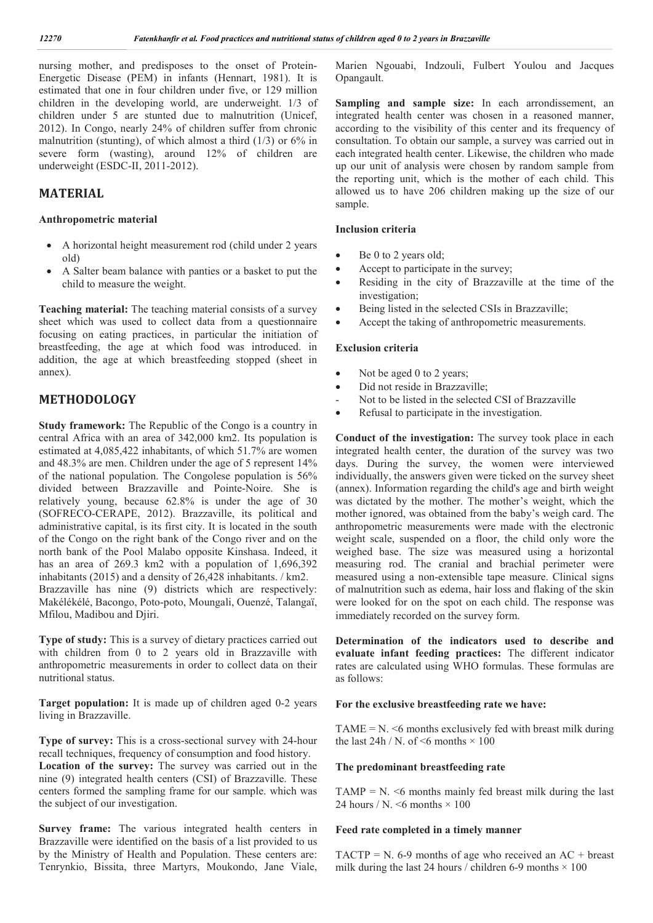nursing mother, and predisposes to the onset of Protein-Energetic Disease (PEM) in infants (Hennart, 1981). It is estimated that one in four children under five, or 129 million children in the developing world, are underweight. 1/3 of children under 5 are stunted due to malnutrition (Unicef, 2012). In Congo, nearly 24% of children suffer from chronic malnutrition (stunting), of which almost a third  $(1/3)$  or 6% in severe form (wasting), around 12% of children are underweight (ESDC-II, 2011-2012).

# **MATERIAL**

#### **Anthropometric material**

- A horizontal height measurement rod (child under 2 years old)
- A Salter beam balance with panties or a basket to put the child to measure the weight.

**Teaching material:** The teaching material consists of a survey sheet which was used to collect data from a questionnaire focusing on eating practices, in particular the initiation of breastfeeding, the age at which food was introduced. in addition, the age at which breastfeeding stopped (sheet in annex).

# **METHODOLOGY**

**Study framework:** The Republic of the Congo is a country in central Africa with an area of 342,000 km2. Its population is estimated at 4,085,422 inhabitants, of which 51.7% are women and 48.3% are men. Children under the age of 5 represent 14% of the national population. The Congolese population is 56% divided between Brazzaville and Pointe-Noire. She is relatively young, because 62.8% is under the age of 30 (SOFRECO-CERAPE, 2012). Brazzaville, its political and administrative capital, is its first city. It is located in the south of the Congo on the right bank of the Congo river and on the north bank of the Pool Malabo opposite Kinshasa. Indeed, it has an area of 269.3 km2 with a population of 1,696,392 inhabitants (2015) and a density of 26,428 inhabitants. / km2. Brazzaville has nine (9) districts which are respectively:

Makélékélé, Bacongo, Poto-poto, Moungali, Ouenzé, Talangaï, Mfilou, Madibou and Djiri.

**Type of study:** This is a survey of dietary practices carried out with children from 0 to 2 years old in Brazzaville with anthropometric measurements in order to collect data on their nutritional status.

**Target population:** It is made up of children aged 0-2 years living in Brazzaville.

**Type of survey:** This is a cross-sectional survey with 24-hour recall techniques, frequency of consumption and food history.

**Location of the survey:** The survey was carried out in the nine (9) integrated health centers (CSI) of Brazzaville. These centers formed the sampling frame for our sample. which was the subject of our investigation.

**Survey frame:** The various integrated health centers in Brazzaville were identified on the basis of a list provided to us by the Ministry of Health and Population. These centers are: Tenrynkio, Bissita, three Martyrs, Moukondo, Jane Viale,

Marien Ngouabi, Indzouli, Fulbert Youlou and Jacques Opangault.

**Sampling and sample size:** In each arrondissement, an integrated health center was chosen in a reasoned manner, according to the visibility of this center and its frequency of consultation. To obtain our sample, a survey was carried out in each integrated health center. Likewise, the children who made up our unit of analysis were chosen by random sample from the reporting unit, which is the mother of each child. This allowed us to have 206 children making up the size of our sample.

# **Inclusion criteria**

- Be 0 to 2 years old;
- Accept to participate in the survey;
- Residing in the city of Brazzaville at the time of the investigation;
- Being listed in the selected CSIs in Brazzaville;
- Accept the taking of anthropometric measurements.

#### **Exclusion criteria**

- Not be aged 0 to 2 years;
- Did not reside in Brazzaville;
- Not to be listed in the selected CSI of Brazzaville
- Refusal to participate in the investigation.

**Conduct of the investigation:** The survey took place in each integrated health center, the duration of the survey was two days. During the survey, the women were interviewed individually, the answers given were ticked on the survey sheet (annex). Information regarding the child's age and birth weight was dictated by the mother. The mother's weight, which the mother ignored, was obtained from the baby's weigh card. The anthropometric measurements were made with the electronic weight scale, suspended on a floor, the child only wore the weighed base. The size was measured using a horizontal measuring rod. The cranial and brachial perimeter were measured using a non-extensible tape measure. Clinical signs of malnutrition such as edema, hair loss and flaking of the skin were looked for on the spot on each child. The response was immediately recorded on the survey form.

**Determination of the indicators used to describe and evaluate infant feeding practices:** The different indicator rates are calculated using WHO formulas. These formulas are as follows:

#### **For the exclusive breastfeeding rate we have:**

TAME =  $N \le 6$  months exclusively fed with breast milk during the last  $24h/N$ . of  $\leq 6$  months  $\times 100$ 

#### **The predominant breastfeeding rate**

TAMP =  $N \leq 6$  months mainly fed breast milk during the last 24 hours / N.  $\leq 6$  months  $\times 100$ 

#### **Feed rate completed in a timely manner**

TACTP = N. 6-9 months of age who received an  $AC +$  breast milk during the last 24 hours / children 6-9 months  $\times$  100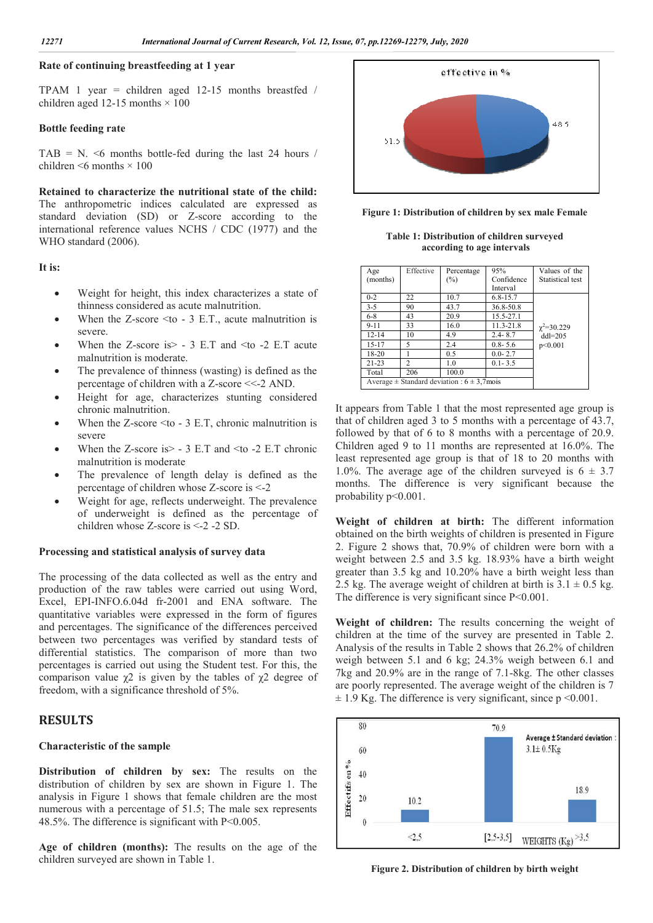# **Rate of continuing breastfeeding at 1 year**

TPAM 1 year = children aged  $12-15$  months breastfed / children aged 12-15 months  $\times$  100

#### **Bottle feeding rate**

TAB = N.  $\leq 6$  months bottle-fed during the last 24 hours / children  $\leq 6$  months  $\times 100$ 

**Retained to characterize the nutritional state of the child:**  The anthropometric indices calculated are expressed as standard deviation (SD) or Z-score according to the international reference values NCHS / CDC (1977) and the WHO standard (2006).

#### **It is:**

- Weight for height, this index characterizes a state of thinness considered as acute malnutrition.
- When the Z-score  $\leq$  to 3 E.T., acute malnutrition is severe.
- When the Z-score is  $>$  3 E.T and  $\leq$  to -2 E.T acute malnutrition is moderate.
- The prevalence of thinness (wasting) is defined as the percentage of children with a Z-score <<-2 AND.
- Height for age, characterizes stunting considered chronic malnutrition.
- When the Z-score  $\leq$  to 3 E.T, chronic malnutrition is severe
- When the Z-score is > 3 E.T and <to -2 E.T chronic malnutrition is moderate
- The prevalence of length delay is defined as the percentage of children whose Z-score is <-2
- Weight for age, reflects underweight. The prevalence of underweight is defined as the percentage of children whose Z-score is <-2 -2 SD.

#### **Processing and statistical analysis of survey data**

The processing of the data collected as well as the entry and production of the raw tables were carried out using Word, Excel, EPI-INFO.6.04d fr-2001 and ENA software. The quantitative variables were expressed in the form of figures and percentages. The significance of the differences perceived between two percentages was verified by standard tests of differential statistics. The comparison of more than two percentages is carried out using the Student test. For this, the comparison value  $\chi$ 2 is given by the tables of  $\chi$ 2 degree of freedom, with a significance threshold of 5%.

# **RESULTS**

#### **Characteristic of the sample**

**Distribution of children by sex:** The results on the distribution of children by sex are shown in Figure 1. The analysis in Figure 1 shows that female children are the most numerous with a percentage of 51.5; The male sex represents 48.5%. The difference is significant with P<0.005.

**Age of children (months):** The results on the age of the children surveyed are shown in Table 1.



**Figure 1: Distribution of children by sex male Female**

| Table 1: Distribution of children surveyed |  |
|--------------------------------------------|--|
| according to age intervals                 |  |

| Age<br>(months) | Effective                                           | Percentage<br>$(\%)$ | 95%<br>Confidence | Values of the<br>Statistical test |  |  |
|-----------------|-----------------------------------------------------|----------------------|-------------------|-----------------------------------|--|--|
|                 |                                                     |                      | Interval          |                                   |  |  |
| $0 - 2$         | 22                                                  | 10.7                 | $6.8 - 15.7$      |                                   |  |  |
| $3 - 5$         | 90                                                  | 43.7                 | 36.8-50.8         |                                   |  |  |
| $6 - 8$         | 43                                                  | 20.9                 | 15.5-27.1         |                                   |  |  |
| $9 - 11$        | 33                                                  | 16.0                 | $11.3 - 21.8$     | $\chi^2 = 30.229$                 |  |  |
| $12 - 14$       | 10                                                  | 4.9                  | $2.4 - 8.7$       | $dd = 205$                        |  |  |
| $15 - 17$       | 5                                                   | 2.4                  | $0.8 - 5.6$       | p<0.001                           |  |  |
| 18-20           |                                                     | 0.5                  | $0.0 - 2.7$       |                                   |  |  |
| $21 - 23$       | $\mathfrak{D}$                                      | 1.0                  | $0.1 - 3.5$       |                                   |  |  |
| Total           | 206                                                 | 100.0                |                   |                                   |  |  |
|                 | Average $\pm$ Standard deviation : 6 $\pm$ 3,7 mois |                      |                   |                                   |  |  |

It appears from Table 1 that the most represented age group is that of children aged 3 to 5 months with a percentage of 43.7, followed by that of 6 to 8 months with a percentage of 20.9. Children aged 9 to 11 months are represented at 16.0%. The least represented age group is that of 18 to 20 months with 1.0%. The average age of the children surveyed is  $6 \pm 3.7$ months. The difference is very significant because the probability p<0.001.

**Weight of children at birth:** The different information obtained on the birth weights of children is presented in Figure 2. Figure 2 shows that, 70.9% of children were born with a weight between 2.5 and 3.5 kg. 18.93% have a birth weight greater than 3.5 kg and 10.20% have a birth weight less than 2.5 kg. The average weight of children at birth is  $3.1 \pm 0.5$  kg. The difference is very significant since  $P<0.001$ .

**Weight of children:** The results concerning the weight of children at the time of the survey are presented in Table 2. Analysis of the results in Table 2 shows that 26.2% of children weigh between 5.1 and 6 kg; 24.3% weigh between 6.1 and 7kg and 20.9% are in the range of 7.1-8kg. The other classes are poorly represented. The average weight of the children is 7  $\pm$  1.9 Kg. The difference is very significant, since p <0.001.



**Figure 2. Distribution of children by birth weight**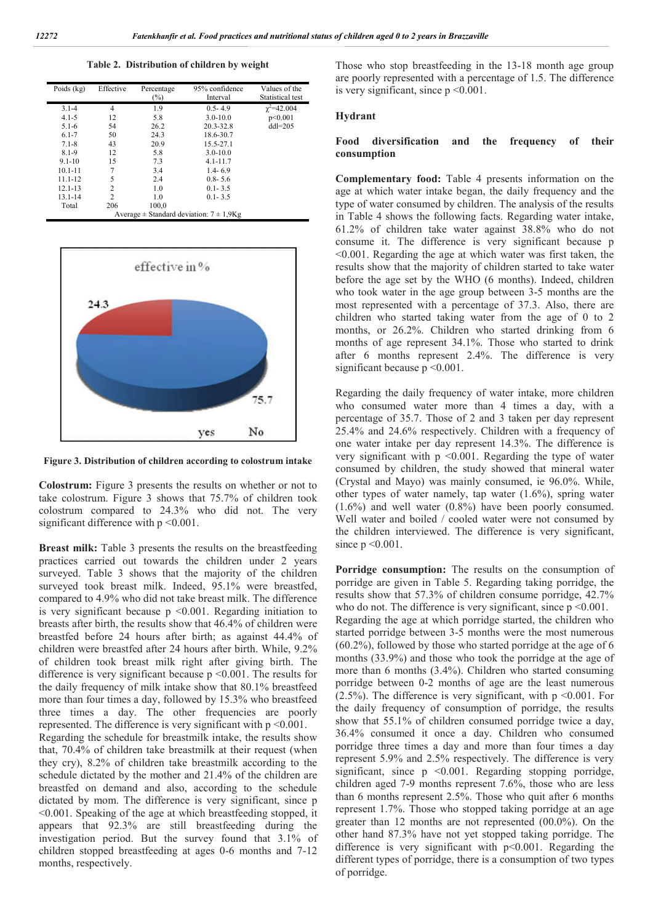**Table 2. Distribution of children by weight**

| Poids $(kg)$ | Effective                                        | Percentage<br>$(\%)$ | 95% confidence<br>Interval | Values of the<br>Statistical test |  |  |  |  |
|--------------|--------------------------------------------------|----------------------|----------------------------|-----------------------------------|--|--|--|--|
| $3.1 - 4$    | 4                                                | 1.9                  | $0.5 - 4.9$                | $\gamma^2 = 42.004$               |  |  |  |  |
| $4.1 - 5$    | 12                                               | 5.8                  | $3.0 - 10.0$               | p<0.001                           |  |  |  |  |
| $5.1 - 6$    | 54                                               | 26.2                 | 20.3-32.8                  | $dd1=205$                         |  |  |  |  |
| $6.1 - 7$    | 50                                               | 24.3                 | 18.6-30.7                  |                                   |  |  |  |  |
| $7.1 - 8$    | 43                                               | 20.9                 | 15.5-27.1                  |                                   |  |  |  |  |
| $8.1 - 9$    | 12                                               | 5.8                  | $3.0 - 10.0$               |                                   |  |  |  |  |
| $9.1 - 10$   | 15                                               | 7.3                  | $4.1 - 11.7$               |                                   |  |  |  |  |
| $10.1 - 11$  | 7                                                | 3.4                  | $1.4 - 6.9$                |                                   |  |  |  |  |
| $11.1 - 12$  | 5                                                | 2.4                  | $0.8 - 5.6$                |                                   |  |  |  |  |
| $12.1 - 13$  | $\overline{c}$                                   | 1.0                  | $0.1 - 3.5$                |                                   |  |  |  |  |
| $13.1 - 14$  | $\overline{c}$                                   | 1.0                  | $0.1 - 3.5$                |                                   |  |  |  |  |
| Total        | 206                                              | 100,0                |                            |                                   |  |  |  |  |
|              | Average $\pm$ Standard deviation: $7 \pm 1.9$ Kg |                      |                            |                                   |  |  |  |  |



**Figure 3. Distribution of children according to colostrum intake**

**Colostrum:** Figure 3 presents the results on whether or not to take colostrum. Figure 3 shows that 75.7% of children took colostrum compared to 24.3% who did not. The very significant difference with  $p \le 0.001$ .

**Breast milk:** Table 3 presents the results on the breastfeeding practices carried out towards the children under 2 years surveyed. Table 3 shows that the majority of the children surveyed took breast milk. Indeed, 95.1% were breastfed, compared to 4.9% who did not take breast milk. The difference is very significant because p <0.001. Regarding initiation to breasts after birth, the results show that 46.4% of children were breastfed before 24 hours after birth; as against 44.4% of children were breastfed after 24 hours after birth. While, 9.2% of children took breast milk right after giving birth. The difference is very significant because p <0.001. The results for the daily frequency of milk intake show that 80.1% breastfeed more than four times a day, followed by 15.3% who breastfeed three times a day. The other frequencies are poorly represented. The difference is very significant with p <0.001. Regarding the schedule for breastmilk intake, the results show that, 70.4% of children take breastmilk at their request (when they cry), 8.2% of children take breastmilk according to the schedule dictated by the mother and 21.4% of the children are breastfed on demand and also, according to the schedule dictated by mom. The difference is very significant, since p <0.001. Speaking of the age at which breastfeeding stopped, it appears that 92.3% are still breastfeeding during the investigation period. But the survey found that 3.1% of children stopped breastfeeding at ages 0-6 months and 7-12 months, respectively.

Those who stop breastfeeding in the 13-18 month age group are poorly represented with a percentage of 1.5. The difference is very significant, since  $p \le 0.001$ .

#### **Hydrant**

#### **Food diversification and the frequency of their consumption**

**Complementary food:** Table 4 presents information on the age at which water intake began, the daily frequency and the type of water consumed by children. The analysis of the results in Table 4 shows the following facts. Regarding water intake, 61.2% of children take water against 38.8% who do not consume it. The difference is very significant because p <0.001. Regarding the age at which water was first taken, the results show that the majority of children started to take water before the age set by the WHO (6 months). Indeed, children who took water in the age group between 3-5 months are the most represented with a percentage of 37.3. Also, there are children who started taking water from the age of 0 to 2 months, or 26.2%. Children who started drinking from 6 months of age represent 34.1%. Those who started to drink after 6 months represent 2.4%. The difference is very significant because  $p \le 0.001$ .

Regarding the daily frequency of water intake, more children who consumed water more than 4 times a day, with a percentage of 35.7. Those of 2 and 3 taken per day represent 25.4% and 24.6% respectively. Children with a frequency of one water intake per day represent 14.3%. The difference is very significant with p <0.001. Regarding the type of water consumed by children, the study showed that mineral water (Crystal and Mayo) was mainly consumed, ie 96.0%. While, other types of water namely, tap water (1.6%), spring water (1.6%) and well water (0.8%) have been poorly consumed. Well water and boiled / cooled water were not consumed by the children interviewed. The difference is very significant, since  $p \le 0.001$ .

**Porridge consumption:** The results on the consumption of porridge are given in Table 5. Regarding taking porridge, the results show that 57.3% of children consume porridge, 42.7% who do not. The difference is very significant, since  $p \le 0.001$ . Regarding the age at which porridge started, the children who started porridge between 3-5 months were the most numerous (60.2%), followed by those who started porridge at the age of 6 months (33.9%) and those who took the porridge at the age of more than 6 months (3.4%). Children who started consuming porridge between 0-2 months of age are the least numerous  $(2.5\%)$ . The difference is very significant, with p <0.001. For the daily frequency of consumption of porridge, the results show that 55.1% of children consumed porridge twice a day, 36.4% consumed it once a day. Children who consumed porridge three times a day and more than four times a day represent 5.9% and 2.5% respectively. The difference is very significant, since  $p \leq 0.001$ . Regarding stopping porridge, children aged 7-9 months represent 7.6%, those who are less than 6 months represent 2.5%. Those who quit after 6 months represent 1.7%. Those who stopped taking porridge at an age greater than 12 months are not represented (00.0%). On the other hand 87.3% have not yet stopped taking porridge. The difference is very significant with p<0.001. Regarding the different types of porridge, there is a consumption of two types of porridge.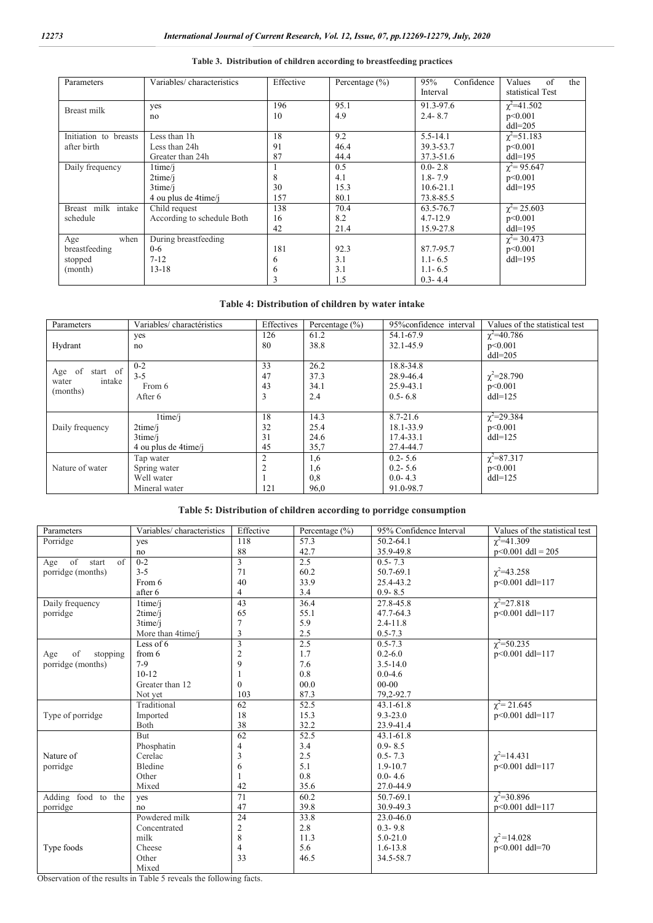| Parameters                                         | Variables/characteristics                                          | Effective          | Percentage $(\% )$         | Confidence<br>95%<br>Interval                            | of<br>Values<br>the<br>statistical Test   |
|----------------------------------------------------|--------------------------------------------------------------------|--------------------|----------------------------|----------------------------------------------------------|-------------------------------------------|
| Breast milk                                        | yes<br>no                                                          | 196<br>10          | 95.1<br>4.9                | 91.3-97.6<br>$2.4 - 8.7$                                 | $\chi^2$ =41.502<br>p<0.001<br>$dd1=205$  |
| Initiation to breasts<br>after birth               | Less than 1h<br>Less than 24h<br>Greater than 24h                  | 18<br>91<br>87     | 9.2<br>46.4<br>44.4        | $5.5 - 14.1$<br>39.3-53.7<br>$37.3 - 51.6$               | $\chi^2 = 51.183$<br>p<0.001<br>$dd1=195$ |
| Daily frequency                                    | $1$ time $/i$<br>2time/i<br>$3$ time/ $i$<br>4 ou plus de 4 time/j | 8<br>30<br>157     | 0.5<br>4.1<br>15.3<br>80.1 | $0.0 - 2.8$<br>$1.8 - 7.9$<br>$10.6 - 21.1$<br>73.8-85.5 | $\chi^2$ = 95.647<br>p<0.001<br>$dd1=195$ |
| Breast milk intake<br>schedule                     | Child request<br>According to schedule Both                        | 138<br>16<br>42    | 70.4<br>8.2<br>21.4        | 63.5-76.7<br>$4.7 - 12.9$<br>15.9-27.8                   | $\chi^2$ = 25.603<br>p<0.001<br>$dd1=195$ |
| when<br>Age<br>breastfeeding<br>stopped<br>(month) | During breastfeeding<br>$0 - 6$<br>$7 - 12$<br>$13 - 18$           | 181<br>6<br>O<br>3 | 92.3<br>3.1<br>3.1<br>1.5  | 87.7-95.7<br>$1.1 - 6.5$<br>$1.1 - 6.5$<br>$0.3 - 4.4$   | $\chi^2$ = 30.473<br>p<0.001<br>$dd1=195$ |

#### **Table 3. Distribution of children according to breastfeeding practices**

#### **Table 4: Distribution of children by water intake**

| Parameters        | Variables/charactéristics | Effectives | Percentage $(\% )$ | 95% confidence interval | Values of the statistical test |
|-------------------|---------------------------|------------|--------------------|-------------------------|--------------------------------|
|                   | yes                       | 126        | 61.2               | 54.1-67.9               | $\chi^2$ =40.786               |
| Hydrant           | no                        | 80         | 38.8               | 32.1-45.9               | p<0.001                        |
|                   |                           |            |                    |                         | $dd = 205$                     |
| start of          | $0 - 2$                   | 33         | 26.2               | 18.8-34.8               |                                |
| Age of<br>intake  | $3 - 5$                   | 47         | 37.3               | 28.9-46.4               | $\chi^2 = 28.790$              |
| water<br>(months) | From 6                    | 43         | 34.1               | 25.9-43.1               | p<0.001                        |
|                   | After 6                   | 3          | 2.4                | $0.5 - 6.8$             | $dd = 125$                     |
|                   |                           |            |                    |                         |                                |
|                   | $1$ time $/i$             | 18         | 14.3               | $8.7 - 21.6$            | $\chi^2$ =29.384               |
| Daily frequency   | $2$ time/j                | 32         | 25.4               | 18.1-33.9               | p<0.001                        |
|                   | $3$ time/j                | 31         | 24.6               | 17.4-33.1               | $dd = 125$                     |
|                   | 4 ou plus de 4 time/j     | 45         | 35,7               | 27.4-44.7               |                                |
|                   | Tap water                 | 2          | 1,6                | $0.2 - 5.6$             | $\chi^2$ =87.317               |
| Nature of water   | Spring water              |            | 1,6                | $0.2 - 5.6$             | p<0.001                        |
|                   | Well water                |            | 0.8                | $0.0 - 4.3$             | $dd = 125$                     |
|                   | Mineral water             | 121        | 96,0               | 91.0-98.7               |                                |

**Table 5: Distribution of children according to porridge consumption**

| Parameters                       | Variables/ characteristics | Effective               | Percentage $(\% )$ | 95% Confidence Interval | Values of the statistical test |
|----------------------------------|----------------------------|-------------------------|--------------------|-------------------------|--------------------------------|
| Porridge                         | yes                        | 118                     | 57.3               | 50.2-64.1               | $\gamma^2 = 41.309$            |
|                                  | no                         | 88                      | 42.7               | 35.9-49.8               | $p<0.001$ ddl = 205            |
| of<br>$\sigma$ f<br>start<br>Age | $0 - 2$                    | 3                       | 2.5                | $0.5 - 7.3$             |                                |
| porridge (months)                | $3 - 5$                    | 71                      | 60.2               | 50.7-69.1               | $\gamma^2 = 43.258$            |
|                                  | From 6                     | 40                      | 33.9               | 25.4-43.2               | p<0.001 ddl=117                |
|                                  | after 6                    | $\overline{4}$          | 3.4                | $0.9 - 8.5$             |                                |
| Daily frequency                  | $1$ time/ $i$              | 43                      | 36.4               | 27.8-45.8               | $\chi^2 = 27.818$              |
| porridge                         | 2time/i                    | 65                      | 55.1               | 47.7-64.3               | p<0.001 ddl=117                |
|                                  | $3$ time/ $i$              | 7                       | 5.9                | $2.4 - 11.8$            |                                |
|                                  | More than 4time/j          | 3                       | 2.5                | $0.5 - 7.3$             |                                |
|                                  | Less of $6$                | $\overline{3}$          | 2.5                | $0.5 - 7.3$             | $\chi^2 = 50.235$              |
| of<br>stopping<br>Age            | from $6$                   | $\overline{2}$          | 1.7                | $0.2 - 6.0$             | p<0.001 ddl=117                |
| porridge (months)                | $7-9$                      | 9                       | 7.6                | $3.5 - 14.0$            |                                |
|                                  | $10 - 12$                  |                         | 0.8                | $0.0 - 4.6$             |                                |
|                                  | Greater than 12            | $\Omega$                | 00.0               | $00 - 00$               |                                |
|                                  | Not yet                    | 103                     | 87.3               | 79,2-92.7               |                                |
|                                  | Traditional                | 62                      | 52.5               | 43.1-61.8               | $\gamma^2$ = 21.645            |
| Type of porridge                 | Imported                   | 18                      | 15.3               | $9.3 - 23.0$            | p<0.001 ddl=117                |
|                                  | Both                       | 38                      | 32.2               | 23.9-41.4               |                                |
|                                  | <b>But</b>                 | 62                      | 52.5               | 43.1-61.8               |                                |
|                                  | Phosphatin                 | 4                       | 3.4                | $0.9 - 8.5$             |                                |
| Nature of                        | Cerelac                    | 3                       | 2.5                | $0.5 - 7.3$             | $\gamma^2 = 14.431$            |
| porridge                         | Bledine                    | 6                       | 5.1                | $1.9 - 10.7$            | p<0.001 ddl=117                |
|                                  | Other                      | 1                       | 0.8                | $0.0 - 4.6$             |                                |
|                                  | Mixed                      | 42                      | 35.6               | 27.0-44.9               |                                |
| Adding food to the               | yes                        | 71                      | 60.2               | 50.7-69.1               | $\gamma^2 = 30.896$            |
| porridge                         | no                         | 47                      | 39.8               | 30.9-49.3               | p<0.001 ddl=117                |
|                                  | Powdered milk              | 24                      | 33.8               | 23.0-46.0               |                                |
|                                  | Concentrated               | $\overline{\mathbf{c}}$ | 2.8                | $0.3 - 9.8$             |                                |
|                                  | milk                       | 8                       | 11.3               | $5.0 - 21.0$            | $\gamma^2$ =14.028             |
| Type foods                       | Cheese                     | $\overline{4}$          | 5.6                | $1.6 - 13.8$            | p<0.001 ddl=70                 |
|                                  | Other                      | 33                      | 46.5               | 34.5-58.7               |                                |
|                                  | Mixed                      |                         |                    |                         |                                |

Observation of the results in Table 5 reveals the following facts.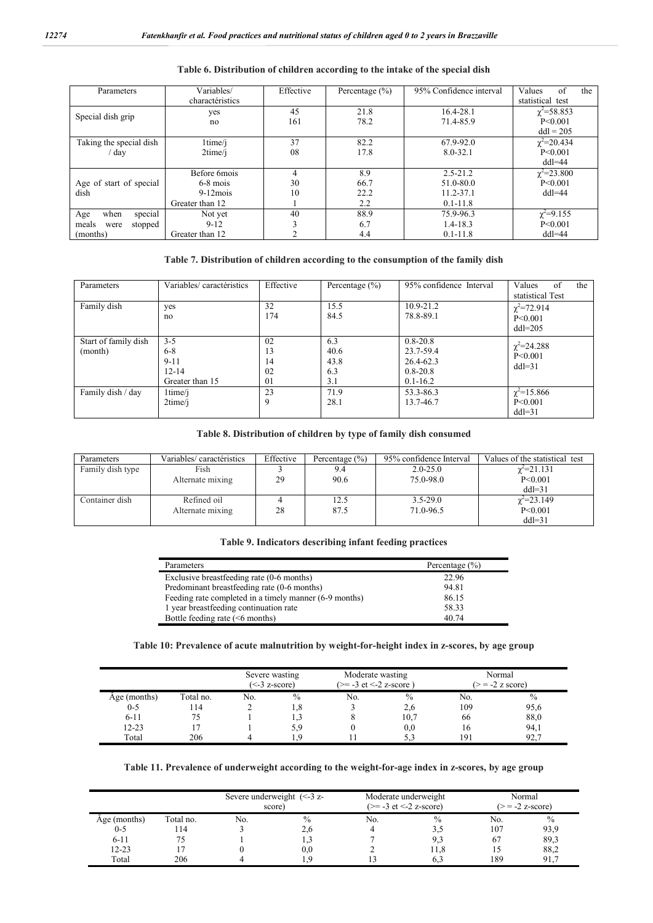| Parameters               | Variables/<br>charactéristics | Effective | Percentage $(\% )$ | 95% Confidence interval | of<br>Values<br>the<br>statistical test |
|--------------------------|-------------------------------|-----------|--------------------|-------------------------|-----------------------------------------|
|                          |                               |           |                    |                         |                                         |
| Special dish grip        | yes                           | 45        | 21.8               | 16.4-28.1               | $\chi^2$ =58.853                        |
|                          | no                            | 161       | 78.2               | 71.4-85.9               | $P \le 0.001$                           |
|                          |                               |           |                    |                         | $dd1 = 205$                             |
| Taking the special dish  | 1time/j                       | 37        | 82.2               | 67.9-92.0               | $\chi^2$ =20.434                        |
| ' day                    | 2time/i                       | 08        | 17.8               | $8.0 - 32.1$            | P < 0.001                               |
|                          |                               |           |                    |                         | $dd = 44$                               |
|                          | Before 6mois                  |           | 8.9                | $2.5 - 21.2$            | $\chi^2 = 23.800$                       |
| Age of start of special  | $6-8$ mois                    | 30        | 66.7               | 51.0-80.0               | P < 0.001                               |
| dish                     | $9-12$ mois                   | 10        | 22.2               | 11.2-37.1               | $dd = 44$                               |
|                          | Greater than 12               |           | 2.2                | $0.1 - 11.8$            |                                         |
| special<br>when<br>Age   | Not yet                       | 40        | 88.9               | 75.9-96.3               | $\chi^2 = 9.155$                        |
| stopped<br>meals<br>were | $9-12$                        |           | 6.7                | $1.4 - 18.3$            | P < 0.001                               |
| (months)                 | Greater than 12               |           | 4.4                | $0.1 - 11.8$            | $dd = 44$                               |

#### **Table 6. Distribution of children according to the intake of the special dish**

# **Table 7. Distribution of children according to the consumption of the family dish**

| Parameters                      | Variables/caractéristics                                       | Effective                  | Percentage $(\% )$                | 95% confidence Interval                                                | Values<br>of<br>the<br>statistical Test   |
|---------------------------------|----------------------------------------------------------------|----------------------------|-----------------------------------|------------------------------------------------------------------------|-------------------------------------------|
| Family dish                     | yes<br>no                                                      | 32<br>174                  | 15.5<br>84.5                      | $10.9 - 21.2$<br>78.8-89.1                                             | $\chi^2$ =72.914<br>P<0.001<br>$dd = 205$ |
| Start of family dish<br>(month) | $3 - 5$<br>$6 - 8$<br>$9 - 11$<br>$12 - 14$<br>Greater than 15 | 02<br>13<br>14<br>02<br>01 | 6.3<br>40.6<br>43.8<br>6.3<br>3.1 | $0.8 - 20.8$<br>23.7-59.4<br>26.4-62.3<br>$0.8 - 20.8$<br>$0.1 - 16.2$ | $\chi^2$ =24.288<br>P<0.001<br>$dd = 31$  |
| Family dish / day               | 1time/j<br>2time/i                                             | 23<br>9                    | 71.9<br>28.1                      | 53.3-86.3<br>13.7-46.7                                                 | $\chi^2$ =15.866<br>P<0.001<br>$dd = 31$  |

#### **Table 8. Distribution of children by type of family dish consumed**

| Parameters       | Variables/ caractéristics | Effective | Percentage $(\% )$ | 95% confidence Interval | Values of the statistical test |
|------------------|---------------------------|-----------|--------------------|-------------------------|--------------------------------|
| Family dish type | Fish                      |           | 9.4                | $2.0 - 25.0$            | $\gamma^2 = 21.131$            |
|                  | Alternate mixing          | 29        | 90.6               | 75.0-98.0               | P < 0.001                      |
|                  |                           |           |                    |                         | $dd = 31$                      |
| Container dish   | Refined oil               |           | 12.5               | $3.5 - 29.0$            | $\chi^2 = 23.149$              |
|                  | Alternate mixing          | 28        | 87.5               | 71.0-96.5               | P<0.001                        |
|                  |                           |           |                    |                         | $dd = 31$                      |

#### **Table 9. Indicators describing infant feeding practices**

| Parameters                                             | Percentage $(\% )$ |
|--------------------------------------------------------|--------------------|
| Exclusive breastfeeding rate (0-6 months)              | 22.96              |
| Predominant breastfeeding rate (0-6 months)            | 94.81              |
| Feeding rate completed in a timely manner (6-9 months) | 86.15              |
| 1 year breastfeeding continuation rate                 | 58.33              |
| Bottle feeding rate $(6 \text{ months})$               | 40.74              |

#### **Table 10: Prevalence of acute malnutrition by weight-for-height index in z-scores, by age group**

|                         |                   |     | Moderate wasting<br>Severe wasting<br>$(>= -3$ et $<-2$ z-score)<br>$(\leq -3)$ z-score) |     | Normal<br>$(>= -2$ z score) |            |              |
|-------------------------|-------------------|-----|------------------------------------------------------------------------------------------|-----|-----------------------------|------------|--------------|
| Age (months)<br>$0 - 5$ | Total no.<br>l 14 | No. | $\frac{0}{0}$                                                                            | No. | $\%$                        | No.<br>109 | $\%$         |
| $6 - 11$                |                   |     | l.8                                                                                      |     | 2,6<br>10,7                 | 66         | 95,6<br>88,0 |
| $12 - 23$               |                   |     | 5.9                                                                                      |     | 0,0                         | 16         | 94,1         |
| Total                   | 206               |     |                                                                                          |     |                             | 191        | 92.7         |

#### **Table 11. Prevalence of underweight according to the weight-for-age index in z-scores, by age group**

|              |           | Severe underweight $(< -3 z$<br>score) |      | Moderate underweight<br>$(>= -3$ et $<-2$ z-score) |               | Normal<br>$(>= -2$ z-score) |               |
|--------------|-----------|----------------------------------------|------|----------------------------------------------------|---------------|-----------------------------|---------------|
| Age (months) | Total no. | No.                                    | $\%$ | No.                                                | $\frac{0}{0}$ | No.                         | $\frac{0}{0}$ |
| $0 - 5$      | 114       |                                        | 2,0  |                                                    | 3.2           | 107                         | 93,9          |
| $6 - 11$     |           |                                        |      |                                                    | 9.3           | 67                          | 89,3          |
| $12 - 23$    |           |                                        | 0.0  |                                                    | l I.8         |                             | 88,2          |
| Total        | 206       |                                        |      |                                                    |               | 189                         | 91.7          |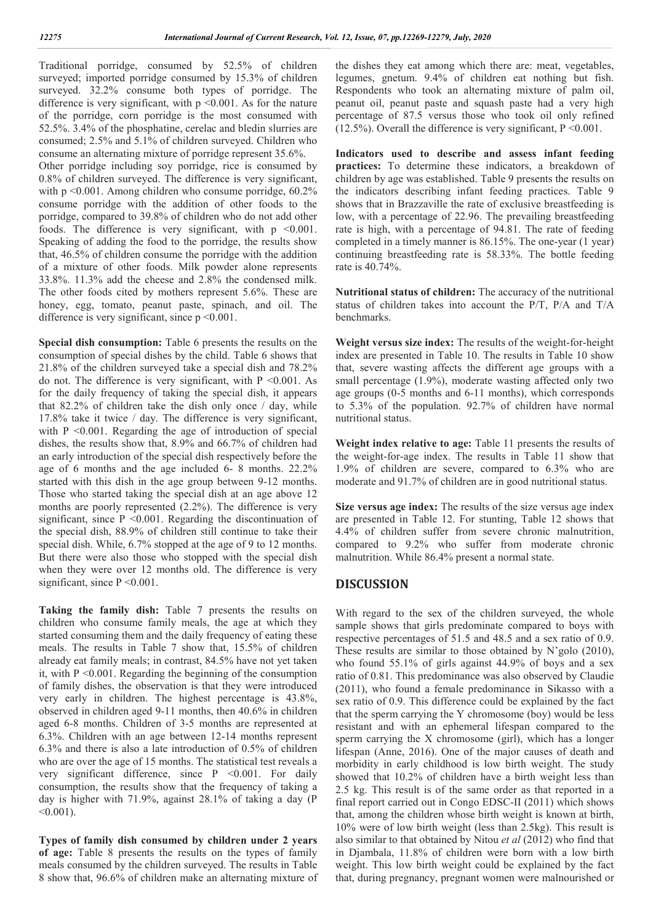Traditional porridge, consumed by 52.5% of children surveyed; imported porridge consumed by 15.3% of children surveyed. 32.2% consume both types of porridge. The difference is very significant, with  $p \le 0.001$ . As for the nature of the porridge, corn porridge is the most consumed with 52.5%. 3.4% of the phosphatine, cerelac and bledin slurries are consumed; 2.5% and 5.1% of children surveyed. Children who consume an alternating mixture of porridge represent 35.6%. Other porridge including soy porridge, rice is consumed by 0.8% of children surveyed. The difference is very significant, with p <0.001. Among children who consume porridge,  $60.2\%$ consume porridge with the addition of other foods to the porridge, compared to 39.8% of children who do not add other foods. The difference is very significant, with  $p \leq 0.001$ . Speaking of adding the food to the porridge, the results show that, 46.5% of children consume the porridge with the addition of a mixture of other foods. Milk powder alone represents 33.8%. 11.3% add the cheese and 2.8% the condensed milk. The other foods cited by mothers represent 5.6%. These are honey, egg, tomato, peanut paste, spinach, and oil. The

difference is very significant, since p <0.001.

**Special dish consumption:** Table 6 presents the results on the consumption of special dishes by the child. Table 6 shows that 21.8% of the children surveyed take a special dish and 78.2% do not. The difference is very significant, with  $P \le 0.001$ . As for the daily frequency of taking the special dish, it appears that  $82.2\%$  of children take the dish only once / day, while 17.8% take it twice / day. The difference is very significant, with  $P \leq 0.001$ . Regarding the age of introduction of special dishes, the results show that, 8.9% and 66.7% of children had an early introduction of the special dish respectively before the age of 6 months and the age included 6- 8 months. 22.2% started with this dish in the age group between 9-12 months. Those who started taking the special dish at an age above 12 months are poorly represented (2.2%). The difference is very significant, since  $P \leq 0.001$ . Regarding the discontinuation of the special dish, 88.9% of children still continue to take their special dish. While, 6.7% stopped at the age of 9 to 12 months. But there were also those who stopped with the special dish when they were over 12 months old. The difference is very significant, since P < 0.001.

**Taking the family dish:** Table 7 presents the results on children who consume family meals, the age at which they started consuming them and the daily frequency of eating these meals. The results in Table 7 show that, 15.5% of children already eat family meals; in contrast, 84.5% have not yet taken it, with  $P \leq 0.001$ . Regarding the beginning of the consumption of family dishes, the observation is that they were introduced very early in children. The highest percentage is 43.8%, observed in children aged 9-11 months, then 40.6% in children aged 6-8 months. Children of 3-5 months are represented at 6.3%. Children with an age between 12-14 months represent 6.3% and there is also a late introduction of 0.5% of children who are over the age of 15 months. The statistical test reveals a very significant difference, since P <0.001. For daily consumption, the results show that the frequency of taking a day is higher with 71.9%, against 28.1% of taking a day (P  $< 0.001$ ).

**Types of family dish consumed by children under 2 years of age:** Table 8 presents the results on the types of family meals consumed by the children surveyed. The results in Table 8 show that, 96.6% of children make an alternating mixture of the dishes they eat among which there are: meat, vegetables, legumes, gnetum. 9.4% of children eat nothing but fish. Respondents who took an alternating mixture of palm oil, peanut oil, peanut paste and squash paste had a very high percentage of 87.5 versus those who took oil only refined (12.5%). Overall the difference is very significant,  $P \le 0.001$ .

**Indicators used to describe and assess infant feeding practices:** To determine these indicators, a breakdown of children by age was established. Table 9 presents the results on the indicators describing infant feeding practices. Table 9 shows that in Brazzaville the rate of exclusive breastfeeding is low, with a percentage of 22.96. The prevailing breastfeeding rate is high, with a percentage of 94.81. The rate of feeding completed in a timely manner is 86.15%. The one-year (1 year) continuing breastfeeding rate is 58.33%. The bottle feeding rate is 40.74%.

**Nutritional status of children:** The accuracy of the nutritional status of children takes into account the P/T, P/A and T/A benchmarks.

**Weight versus size index:** The results of the weight-for-height index are presented in Table 10. The results in Table 10 show that, severe wasting affects the different age groups with a small percentage (1.9%), moderate wasting affected only two age groups (0-5 months and 6-11 months), which corresponds to 5.3% of the population. 92.7% of children have normal nutritional status.

**Weight index relative to age:** Table 11 presents the results of the weight-for-age index. The results in Table 11 show that 1.9% of children are severe, compared to 6.3% who are moderate and 91.7% of children are in good nutritional status.

**Size versus age index:** The results of the size versus age index are presented in Table 12. For stunting, Table 12 shows that 4.4% of children suffer from severe chronic malnutrition, compared to 9.2% who suffer from moderate chronic malnutrition. While 86.4% present a normal state.

# **DISCUSSION**

With regard to the sex of the children surveyed, the whole sample shows that girls predominate compared to boys with respective percentages of 51.5 and 48.5 and a sex ratio of 0.9. These results are similar to those obtained by N'golo (2010), who found 55.1% of girls against 44.9% of boys and a sex ratio of 0.81. This predominance was also observed by Claudie (2011), who found a female predominance in Sikasso with a sex ratio of 0.9. This difference could be explained by the fact that the sperm carrying the Y chromosome (boy) would be less resistant and with an ephemeral lifespan compared to the sperm carrying the X chromosome (girl), which has a longer lifespan (Anne, 2016). One of the major causes of death and morbidity in early childhood is low birth weight. The study showed that 10.2% of children have a birth weight less than 2.5 kg. This result is of the same order as that reported in a final report carried out in Congo EDSC-II (2011) which shows that, among the children whose birth weight is known at birth, 10% were of low birth weight (less than 2.5kg). This result is also similar to that obtained by Nitou *et al* (2012) who find that in Djambala, 11.8% of children were born with a low birth weight. This low birth weight could be explained by the fact that, during pregnancy, pregnant women were malnourished or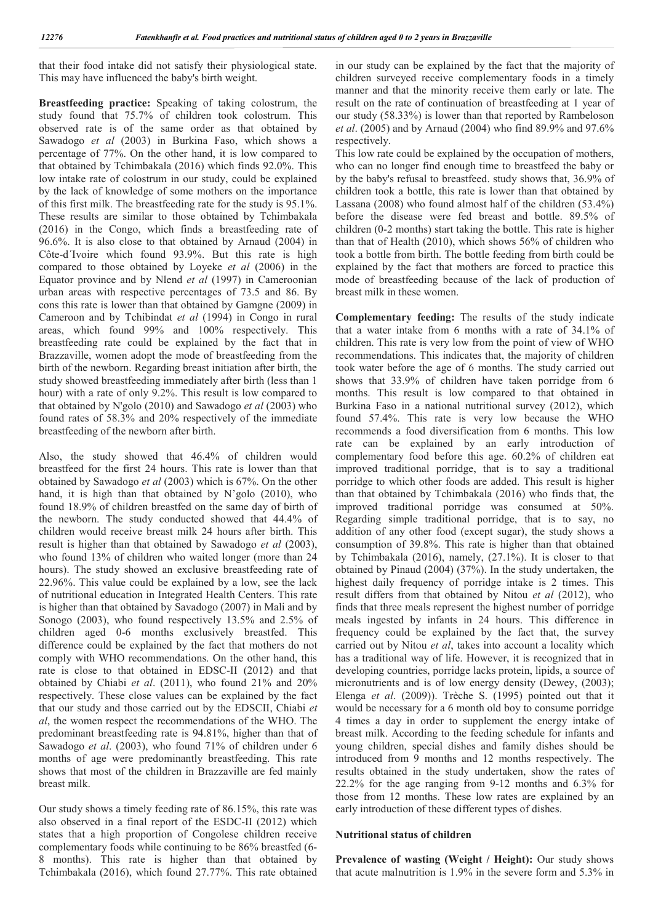that their food intake did not satisfy their physiological state. This may have influenced the baby's birth weight.

**Breastfeeding practice:** Speaking of taking colostrum, the study found that 75.7% of children took colostrum. This observed rate is of the same order as that obtained by Sawadogo *et al* (2003) in Burkina Faso, which shows a percentage of 77%. On the other hand, it is low compared to that obtained by Tchimbakala (2016) which finds 92.0%. This low intake rate of colostrum in our study, could be explained by the lack of knowledge of some mothers on the importance of this first milk. The breastfeeding rate for the study is 95.1%. These results are similar to those obtained by Tchimbakala (2016) in the Congo, which finds a breastfeeding rate of 96.6%. It is also close to that obtained by Arnaud (2004) in Côte-d´Ivoire which found 93.9%. But this rate is high compared to those obtained by Loyeke *et al* (2006) in the Equator province and by Nlend *et al* (1997) in Cameroonian urban areas with respective percentages of 73.5 and 86. By cons this rate is lower than that obtained by Gamgne (2009) in Cameroon and by Tchibindat *et al* (1994) in Congo in rural areas, which found 99% and 100% respectively. This breastfeeding rate could be explained by the fact that in Brazzaville, women adopt the mode of breastfeeding from the birth of the newborn. Regarding breast initiation after birth, the study showed breastfeeding immediately after birth (less than 1 hour) with a rate of only 9.2%. This result is low compared to that obtained by N'golo (2010) and Sawadogo *et al* (2003) who found rates of 58.3% and 20% respectively of the immediate breastfeeding of the newborn after birth.

Also, the study showed that 46.4% of children would breastfeed for the first 24 hours. This rate is lower than that obtained by Sawadogo *et al* (2003) which is 67%. On the other hand, it is high than that obtained by N'golo (2010), who found 18.9% of children breastfed on the same day of birth of the newborn. The study conducted showed that 44.4% of children would receive breast milk 24 hours after birth. This result is higher than that obtained by Sawadogo *et al* (2003), who found 13% of children who waited longer (more than 24 hours). The study showed an exclusive breastfeeding rate of 22.96%. This value could be explained by a low, see the lack of nutritional education in Integrated Health Centers. This rate is higher than that obtained by Savadogo (2007) in Mali and by Sonogo (2003), who found respectively 13.5% and 2.5% of children aged 0-6 months exclusively breastfed. This difference could be explained by the fact that mothers do not comply with WHO recommendations. On the other hand, this rate is close to that obtained in EDSC-II (2012) and that obtained by Chiabi *et al*. (2011), who found 21% and 20% respectively. These close values can be explained by the fact that our study and those carried out by the EDSCII, Chiabi *et al*, the women respect the recommendations of the WHO. The predominant breastfeeding rate is 94.81%, higher than that of Sawadogo *et al*. (2003), who found 71% of children under 6 months of age were predominantly breastfeeding. This rate shows that most of the children in Brazzaville are fed mainly breast milk.

Our study shows a timely feeding rate of 86.15%, this rate was also observed in a final report of the ESDC-II (2012) which states that a high proportion of Congolese children receive complementary foods while continuing to be 86% breastfed (6- 8 months). This rate is higher than that obtained by Tchimbakala (2016), which found 27.77%. This rate obtained in our study can be explained by the fact that the majority of children surveyed receive complementary foods in a timely manner and that the minority receive them early or late. The result on the rate of continuation of breastfeeding at 1 year of our study (58.33%) is lower than that reported by Rambeloson *et al*. (2005) and by Arnaud (2004) who find 89.9% and 97.6% respectively.

This low rate could be explained by the occupation of mothers, who can no longer find enough time to breastfeed the baby or by the baby's refusal to breastfeed. study shows that, 36.9% of children took a bottle, this rate is lower than that obtained by Lassana (2008) who found almost half of the children (53.4%) before the disease were fed breast and bottle. 89.5% of children (0-2 months) start taking the bottle. This rate is higher than that of Health (2010), which shows 56% of children who took a bottle from birth. The bottle feeding from birth could be explained by the fact that mothers are forced to practice this mode of breastfeeding because of the lack of production of breast milk in these women.

**Complementary feeding:** The results of the study indicate that a water intake from 6 months with a rate of 34.1% of children. This rate is very low from the point of view of WHO recommendations. This indicates that, the majority of children took water before the age of 6 months. The study carried out shows that 33.9% of children have taken porridge from 6 months. This result is low compared to that obtained in Burkina Faso in a national nutritional survey (2012), which found 57.4%. This rate is very low because the WHO recommends a food diversification from 6 months. This low rate can be explained by an early introduction of complementary food before this age. 60.2% of children eat improved traditional porridge, that is to say a traditional porridge to which other foods are added. This result is higher than that obtained by Tchimbakala (2016) who finds that, the improved traditional porridge was consumed at 50%. Regarding simple traditional porridge, that is to say, no addition of any other food (except sugar), the study shows a consumption of 39.8%. This rate is higher than that obtained by Tchimbakala (2016), namely, (27.1%). It is closer to that obtained by Pinaud (2004) (37%). In the study undertaken, the highest daily frequency of porridge intake is 2 times. This result differs from that obtained by Nitou *et al* (2012), who finds that three meals represent the highest number of porridge meals ingested by infants in 24 hours. This difference in frequency could be explained by the fact that, the survey carried out by Nitou *et al*, takes into account a locality which has a traditional way of life. However, it is recognized that in developing countries, porridge lacks protein, lipids, a source of micronutrients and is of low energy density (Dewey, (2003); Elenga *et al*. (2009)). Trèche S. (1995) pointed out that it would be necessary for a 6 month old boy to consume porridge 4 times a day in order to supplement the energy intake of breast milk. According to the feeding schedule for infants and young children, special dishes and family dishes should be introduced from 9 months and 12 months respectively. The results obtained in the study undertaken, show the rates of 22.2% for the age ranging from 9-12 months and 6.3% for those from 12 months. These low rates are explained by an early introduction of these different types of dishes.

#### **Nutritional status of children**

Prevalence of wasting (Weight / Height): Our study shows that acute malnutrition is 1.9% in the severe form and 5.3% in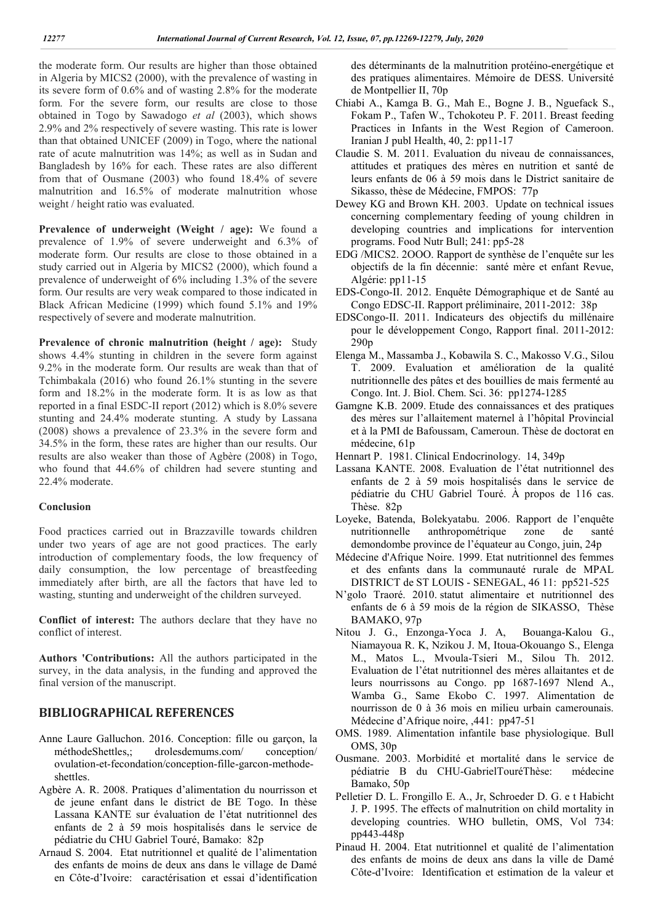the moderate form. Our results are higher than those obtained in Algeria by MICS2 (2000), with the prevalence of wasting in its severe form of 0.6% and of wasting 2.8% for the moderate form. For the severe form, our results are close to those obtained in Togo by Sawadogo *et al* (2003), which shows 2.9% and 2% respectively of severe wasting. This rate is lower than that obtained UNICEF (2009) in Togo, where the national rate of acute malnutrition was 14%; as well as in Sudan and Bangladesh by 16% for each. These rates are also different from that of Ousmane (2003) who found 18.4% of severe malnutrition and 16.5% of moderate malnutrition whose weight / height ratio was evaluated.

**Prevalence of underweight (Weight / age):** We found a prevalence of 1.9% of severe underweight and 6.3% of moderate form. Our results are close to those obtained in a study carried out in Algeria by MICS2 (2000), which found a prevalence of underweight of 6% including 1.3% of the severe form. Our results are very weak compared to those indicated in Black African Medicine (1999) which found 5.1% and 19% respectively of severe and moderate malnutrition.

**Prevalence of chronic malnutrition (height / age):** Study shows 4.4% stunting in children in the severe form against 9.2% in the moderate form. Our results are weak than that of Tchimbakala (2016) who found 26.1% stunting in the severe form and 18.2% in the moderate form. It is as low as that reported in a final ESDC-II report (2012) which is 8.0% severe stunting and 24.4% moderate stunting. A study by Lassana (2008) shows a prevalence of 23.3% in the severe form and 34.5% in the form, these rates are higher than our results. Our results are also weaker than those of Agbère (2008) in Togo, who found that 44.6% of children had severe stunting and 22.4% moderate.

#### **Conclusion**

Food practices carried out in Brazzaville towards children under two years of age are not good practices. The early introduction of complementary foods, the low frequency of daily consumption, the low percentage of breastfeeding immediately after birth, are all the factors that have led to wasting, stunting and underweight of the children surveyed.

**Conflict of interest:** The authors declare that they have no conflict of interest.

**Authors 'Contributions:** All the authors participated in the survey, in the data analysis, in the funding and approved the final version of the manuscript.

# **BIBLIOGRAPHICAL REFERENCES**

- Anne Laure Galluchon. 2016. Conception: fille ou garçon, la méthodeShettles,; drolesdemums.com/ conception/ ovulation-et-fecondation/conception-fille-garcon-methodeshettles.
- Agbère A. R. 2008. Pratiques d'alimentation du nourrisson et de jeune enfant dans le district de BE Togo. In thèse Lassana KANTE sur évaluation de l'état nutritionnel des enfants de 2 à 59 mois hospitalisés dans le service de pédiatrie du CHU Gabriel Touré, Bamako: 82p
- Arnaud S. 2004. Etat nutritionnel et qualité de l'alimentation des enfants de moins de deux ans dans le village de Damé en Côte-d'Ivoire: caractérisation et essai d'identification

des déterminants de la malnutrition protéino-energétique et des pratiques alimentaires. Mémoire de DESS. Université de Montpellier II, 70p

- Chiabi A., Kamga B. G., Mah E., Bogne J. B., Nguefack S., Fokam P., Tafen W., Tchokoteu P. F. 2011. Breast feeding Practices in Infants in the West Region of Cameroon. Iranian J publ Health, 40, 2: pp11-17
- Claudie S. M. 2011. Evaluation du niveau de connaissances, attitudes et pratiques des mères en nutrition et santé de leurs enfants de 06 à 59 mois dans le District sanitaire de Sikasso, thèse de Médecine, FMPOS: 77p
- Dewey KG and Brown KH. 2003. Update on technical issues concerning complementary feeding of young children in developing countries and implications for intervention programs. Food Nutr Bull; 241: pp5-28
- EDG /MICS2. 2OOO. Rapport de synthèse de l'enquête sur les objectifs de la fin décennie: santé mère et enfant Revue, Algérie: pp11-15
- EDS-Congo-II. 2012. Enquête Démographique et de Santé au Congo EDSC-II. Rapport préliminaire, 2011-2012: 38p
- EDSCongo-II. 2011. Indicateurs des objectifs du millénaire pour le développement Congo, Rapport final. 2011-2012: 290p
- Elenga M., Massamba J., Kobawila S. C., Makosso V.G., Silou T. 2009. Evaluation et amélioration de la qualité nutritionnelle des pâtes et des bouillies de mais fermenté au Congo. Int. J. Biol. Chem. Sci. 36: pp1274-1285
- Gamgne K.B. 2009. Etude des connaissances et des pratiques des mères sur l'allaitement maternel à l'hôpital Provincial et à la PMI de Bafoussam, Cameroun. Thèse de doctorat en médecine, 61p
- Hennart P. 1981. Clinical Endocrinology. 14, 349p
- Lassana KANTE. 2008. Evaluation de l'état nutritionnel des enfants de 2 à 59 mois hospitalisés dans le service de pédiatrie du CHU Gabriel Touré. À propos de 116 cas. Thèse. 82p
- Loyeke, Batenda, Bolekyatabu. 2006. Rapport de l'enquête nutritionnelle anthropométrique zone de santé demondombe province de l'équateur au Congo, juin, 24p
- Médecine d'Afrique Noire. 1999. Etat nutritionnel des femmes et des enfants dans la communauté rurale de MPAL DISTRICT de ST LOUIS - SENEGAL, 46 11: pp521-525
- N'golo Traoré. 2010. statut alimentaire et nutritionnel des enfants de 6 à 59 mois de la région de SIKASSO, Thèse BAMAKO, 97p
- Nitou J. G., Enzonga-Yoca J. A, Bouanga-Kalou G., Niamayoua R. K, Nzikou J. M, Itoua-Okouango S., Elenga M., Matos L., Mvoula-Tsieri M., Silou Th. 2012. Evaluation de l'état nutritionnel des mères allaitantes et de leurs nourrissons au Congo. pp 1687-1697 Nlend A., Wamba G., Same Ekobo C. 1997. Alimentation de nourrisson de 0 à 36 mois en milieu urbain camerounais. Médecine d'Afrique noire, ,441: pp47-51
- OMS. 1989. Alimentation infantile base physiologique. Bull OMS, 30p
- Ousmane. 2003. Morbidité et mortalité dans le service de pédiatrie B du CHU-GabrielTouréThèse: médecine Bamako, 50p
- Pelletier D. L. Frongillo E. A., Jr, Schroeder D. G. e t Habicht J. P. 1995. The effects of malnutrition on child mortality in developing countries. WHO bulletin, OMS, Vol 734: pp443-448p
- Pinaud H. 2004. Etat nutritionnel et qualité de l'alimentation des enfants de moins de deux ans dans la ville de Damé Côte-d'Ivoire: Identification et estimation de la valeur et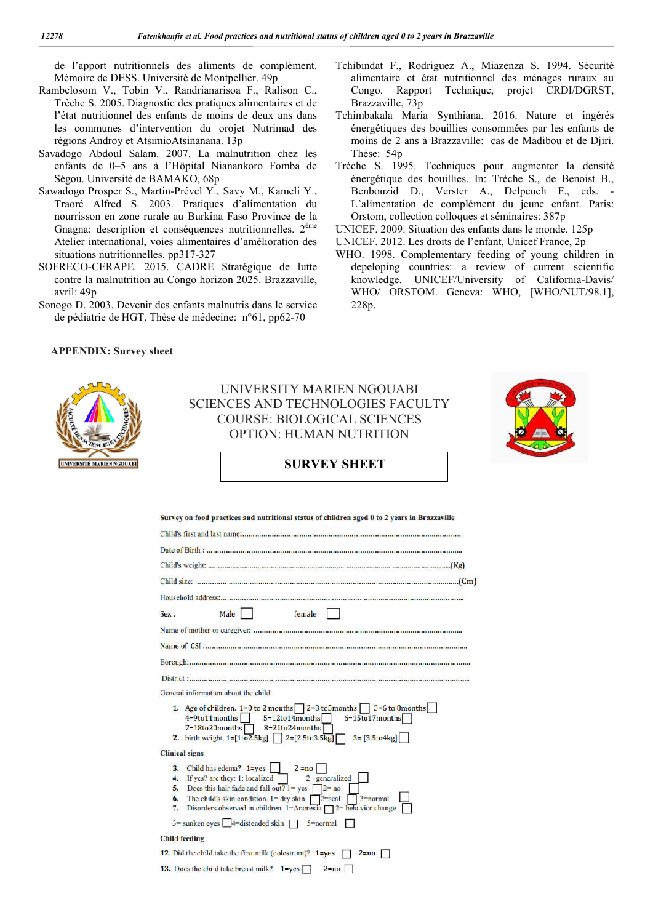de l'apport nutritionnels des aliments de complément. Mémoire de DESS. Université de Montpellier. 49p

- Rambelosom V., Tobin V., Randrianarisoa F., Ralison C., Trèche S. 2005. Diagnostic des pratiques alimentaires et de l'état nutritionnel des enfants de moins de deux ans dans les communes d'intervention du orojet Nutrimad des régions Androy et AtsimioAtsinanana. 13p
- Savadogo Abdoul Salam. 2007. La malnutrition chez les enfants de 0–5 ans à l'Hôpital Nianankoro Fomba de Ségou. Université de BAMAKO, 68p
- Sawadogo Prosper S., Martin-Prével Y., Savy M., Kameli Y., Traoré Alfred S. 2003. Pratiques d'alimentation du nourrisson en zone rurale au Burkina Faso Province de la Gnagna: description et conséquences nutritionnelles. 2ème Atelier international, voies alimentaires d'amélioration des situations nutritionnelles. pp317-327
- SOFRECO-CERAPE. 2015. CADRE Stratégique de lutte contre la malnutrition au Congo horizon 2025. Brazzaville, avril: 49p
- Sonogo D. 2003. Devenir des enfants malnutris dans le service de pédiatrie de HGT. Thèse de médecine: n°61, pp62-70
- Tchibindat F., Rodriguez A., Miazenza S. 1994. Sécurité alimentaire et état nutritionnel des ménages ruraux au Congo. Rapport Technique, projet CRDI/DGRST, Brazzaville, 73p
- Tchimbakala Maria Synthiana. 2016. Nature et ingérés énergétiques des bouillies consommées par les enfants de moins de 2 ans à Brazzaville: cas de Madibou et de Djiri. Thèse: 54p
- Trèche S. 1995. Techniques pour augmenter la densité énergétique des bouillies. In: Trèche S., de Benoist B., Benbouzid D., Verster A., Delpeuch F., eds. - L'alimentation de complément du jeune enfant. Paris: Orstom, collection colloques et séminaires: 387p
- UNICEF. 2009. Situation des enfants dans le monde. 125p
- UNICEF. 2012. Les droits de l'enfant, Unicef France, 2p
- WHO. 1998. Complementary feeding of young children in depeloping countries: a review of current scientific knowledge. UNICEF/University of California-Davis/ WHO/ ORSTOM. Geneva: WHO, [WHO/NUT/98.1], 228p.

#### **APPENDIX: Survey sheet**



UNIVERSITY MARIEN NGOUABI SCIENCES AND TECHNOLOGIES FACULTY COURSE: BIOLOGICAL SCIENCES OPTION: HUMAN NUTRITION



# **SURVEY SHEET**

| Survey on food practices and nutritional status of children aged 0 to 2 years in Brazzaville                                                                                                                                                                                                                            |
|-------------------------------------------------------------------------------------------------------------------------------------------------------------------------------------------------------------------------------------------------------------------------------------------------------------------------|
|                                                                                                                                                                                                                                                                                                                         |
|                                                                                                                                                                                                                                                                                                                         |
|                                                                                                                                                                                                                                                                                                                         |
|                                                                                                                                                                                                                                                                                                                         |
|                                                                                                                                                                                                                                                                                                                         |
| Male    <br>female<br>Sex:                                                                                                                                                                                                                                                                                              |
|                                                                                                                                                                                                                                                                                                                         |
|                                                                                                                                                                                                                                                                                                                         |
|                                                                                                                                                                                                                                                                                                                         |
|                                                                                                                                                                                                                                                                                                                         |
| General information about the child                                                                                                                                                                                                                                                                                     |
| 1. Age of children. $1=0$ to 2 months 2=3 to 5 months 3=6 to 8 months<br>$4=9$ to11months $5=12$ to14months<br>$6 = 15$ to 17 months<br>7=18to20months<br>$8=21$ to24months<br>$3 = [3.5$ to4kg]<br>2. birth weight. $1 = [1102.5 \text{kg}]$ $2 = [2.5103.5 \text{kg}]$                                                |
| <b>Clinical signs</b>                                                                                                                                                                                                                                                                                                   |
| Child has edema? $1 = yes$   $2 = no$<br>3.<br>4. If yes? are they: 1: localized<br>2 : generalized<br>Does this hair fade and fall out? $l = yes$ 2= no<br>5.<br>The child's skin condition. $1 =$ dry skin 2=scal<br>$3 = normal$<br>6.<br>Disorders observed in children. 1=Anorexia $\Box$ 2= behavior change<br>7. |
| $3 =$ sunken eyes $4 =$ distended skin $\Box$ 5=normal                                                                                                                                                                                                                                                                  |
| <b>Child feeding</b>                                                                                                                                                                                                                                                                                                    |
| 12. Did the child take the first milk (colostrum)? 1=yes<br>$2 = no$                                                                                                                                                                                                                                                    |
| <b>13.</b> Does the child take breast milk? $1 = yes$<br>$2 = no$                                                                                                                                                                                                                                                       |